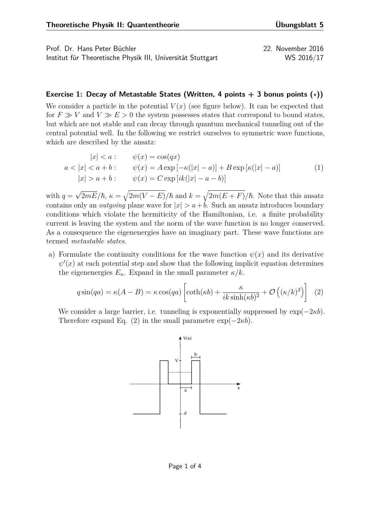Prof. Dr. Hans Peter Büchler 22. November 2016 Institut für Theoretische Physik III, Universität Stuttgart WS 2016/17

## **Exercise 1: Decay of Metastable States (Written, 4 points**  $+$  **3 bonus points**  $(*)$ **)**

We consider a particle in the potential  $V(x)$  (see figure below). It can be expected that for  $F \gg V$  and  $V \gg E > 0$  the system possesses states that correspond to bound states, but which are not stable and can decay through quantum mechanical tunneling out of the central potential well. In the following we restrict ourselves to symmetric wave functions, which are described by the ansatz:

$$
|x| < a: \quad \psi(x) = \cos(qx)
$$
\n
$$
a < |x| < a + b: \quad \psi(x) = A \exp\left[-\kappa(|x| - a)\right] + B \exp\left[\kappa(|x| - a)\right] \tag{1}
$$
\n
$$
|x| > a + b: \quad \psi(x) = C \exp\left[ik(|x| - a - b)\right]
$$

with  $q =$  $\sqrt{2mE}/\hbar$ ,  $\kappa = \sqrt{2m(V-E)}/\hbar$  and  $k = \sqrt{2m(E+F)}/\hbar$ . Note that this ansatz contains only an *outgoing* plane wave for  $|x| > a+b$ . Such an ansatz introduces boundary conditions which violate the hermiticity of the Hamiltonian, i.e. a finite probability current is leaving the system and the norm of the wave function is no longer conserved. As a consequence the eigenenergies have an imaginary part. These wave functions are termed *metastable states*.

a) Formulate the continuity conditions for the wave function  $\psi(x)$  and its derivative  $\psi'(x)$  at each potential step and show that the following implicit equation determines the eigenenergies  $E_n$ . Expand in the small parameter  $\kappa/k$ .

$$
q\sin(qa) = \kappa(A - B) = \kappa\cos(qa)\left[\coth(\kappa b) + \frac{\kappa}{ik\sinh(\kappa b)^2} + \mathcal{O}\left((\kappa/k)^2\right)\right] \tag{2}
$$

We consider a large barrier, i.e. tunneling is exponentially suppressed by  $\exp(-2\kappa b)$ . Therefore expand Eq.  $(2)$  in the small parameter  $\exp(-2\kappa b)$ .

<span id="page-0-0"></span>

Page 1 of 4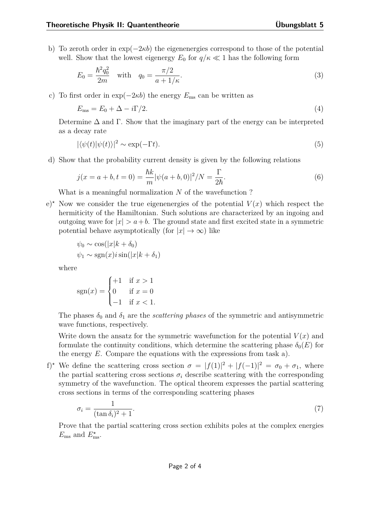b) To zeroth order in exp(−2*κb*) the eigenenergies correspond to those of the potential well. Show that the lowest eigenergy  $E_0$  for  $q/\kappa \ll 1$  has the following form

$$
E_0 = \frac{\hbar^2 q_0^2}{2m} \quad \text{with} \quad q_0 = \frac{\pi/2}{a + 1/\kappa}.\tag{3}
$$

c) To first order in  $\exp(-2\kappa b)$  the energy  $E_{\text{ms}}$  can be written as

$$
E_{\rm ms} = E_0 + \Delta - i\Gamma/2. \tag{4}
$$

Determine  $\Delta$  and  $\Gamma$ . Show that the imaginary part of the energy can be interpreted as a decay rate

$$
|\langle \psi(t) | \psi(t) \rangle|^2 \sim \exp(-\Gamma t). \tag{5}
$$

d) Show that the probability current density is given by the following relations

$$
j(x = a + b, t = 0) = \frac{\hbar k}{m} |\psi(a + b, 0)|^2 / N = \frac{\Gamma}{2\hbar}.
$$
\n(6)

What is a meaningful normalization *N* of the wavefunction ?

 $e^{\lambda}$  Now we consider the true eigenenergies of the potential  $V(x)$  which respect the hermiticity of the Hamiltonian. Such solutions are characterized by an ingoing and outgoing wave for  $|x| > a+b$ . The ground state and first excited state in a symmetric potential behave asymptotically (for  $|x| \to \infty$ ) like

$$
\psi_0 \sim \cos(|x|k + \delta_0)
$$
  

$$
\psi_1 \sim \text{sgn}(x)i\sin(|x|k + \delta_1)
$$

where

$$
sgn(x) = \begin{cases} +1 & \text{if } x > 1\\ 0 & \text{if } x = 0\\ -1 & \text{if } x < 1. \end{cases}
$$

The phases  $\delta_0$  and  $\delta_1$  are the *scattering phases* of the symmetric and antisymmetric wave functions, respectively.

Write down the ansatz for the symmetric wavefunction for the potential  $V(x)$  and formulate the continuity conditions, which determine the scattering phase  $\delta_0(E)$  for the energy *E*. Compare the equations with the expressions from task a).

f)<sup>\*</sup> We define the scattering cross section  $\sigma = |f(1)|^2 + |f(-1)|^2 = \sigma_0 + \sigma_1$ , where the partial scattering cross sections  $\sigma_i$  describe scattering with the corresponding symmetry of the wavefunction. The optical theorem expresses the partial scattering cross sections in terms of the corresponding scattering phases

$$
\sigma_i = \frac{1}{(\tan \delta_i)^2 + 1}.\tag{7}
$$

Prove that the partial scattering cross section exhibits poles at the complex energies  $E_{\text{ms}}$  and  $E_{\text{ms}}^*$ .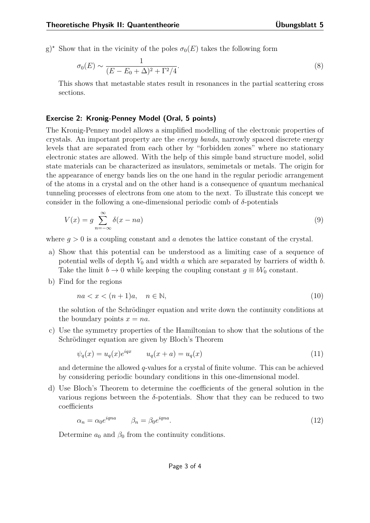g)<sup>\*</sup> Show that in the vicinity of the poles  $\sigma_0(E)$  takes the following form

$$
\sigma_0(E) \sim \frac{1}{(E - E_0 + \Delta)^2 + \Gamma^2/4}.\tag{8}
$$

This shows that metastable states result in resonances in the partial scattering cross sections.

## **Exercise 2: Kronig-Penney Model (Oral, 5 points)**

The Kronig-Penney model allows a simplified modelling of the electronic properties of crystals. An important property are the *energy bands*, narrowly spaced discrete energy levels that are separated from each other by "forbidden zones" where no stationary electronic states are allowed. With the help of this simple band structure model, solid state materials can be characterized as insulators, semimetals or metals. The origin for the appearance of energy bands lies on the one hand in the regular periodic arrangement of the atoms in a crystal and on the other hand is a consequence of quantum mechanical tunneling processes of electrons from one atom to the next. To illustrate this concept we consider in the following a one-dimensional periodic comb of *δ*-potentials

$$
V(x) = g \sum_{n = -\infty}^{\infty} \delta(x - na)
$$
\n(9)

where  $q > 0$  is a coupling constant and *a* denotes the lattice constant of the crystal.

- a) Show that this potential can be understood as a limiting case of a sequence of potential wells of depth *V*<sup>0</sup> and width *a* which are separated by barriers of width *b*. Take the limit  $b \to 0$  while keeping the coupling constant  $g \equiv bV_0$  constant.
- b) Find for the regions

$$
na < x < (n+1)a, \quad n \in \mathbb{N},\tag{10}
$$

the solution of the Schrödinger equation and write down the continuity conditions at the boundary points  $x = na$ .

c) Use the symmetry properties of the Hamiltonian to show that the solutions of the Schrödinger equation are given by Bloch's Theorem

$$
\psi_q(x) = u_q(x)e^{iqx} \qquad u_q(x+a) = u_q(x) \tag{11}
$$

and determine the allowed *q*-values for a crystal of finite volume. This can be achieved by considering periodic boundary conditions in this one-dimensional model.

d) Use Bloch's Theorem to determine the coefficients of the general solution in the various regions between the  $\delta$ -potentials. Show that they can be reduced to two coefficients

$$
\alpha_n = \alpha_0 e^{iqna} \qquad \beta_n = \beta_0 e^{iqna}.\tag{12}
$$

Determine  $a_0$  and  $\beta_0$  from the continuity conditions.